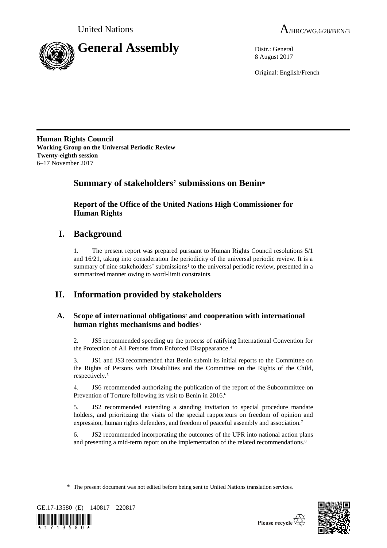



8 August 2017

Original: English/French

**Human Rights Council Working Group on the Universal Periodic Review Twenty-eighth session** 6–17 November 2017

# **Summary of stakeholders' submissions on Benin**\*

**Report of the Office of the United Nations High Commissioner for Human Rights**

# **I. Background**

1. The present report was prepared pursuant to Human Rights Council resolutions 5/1 and 16/21, taking into consideration the periodicity of the universal periodic review. It is a summary of nine stakeholders' submissions<sup>1</sup> to the universal periodic review, presented in a summarized manner owing to word-limit constraints.

# **II. Information provided by stakeholders**

# **A. Scope of international obligations**<sup>2</sup> **and cooperation with international human rights mechanisms and bodies**<sup>3</sup>

2. JS5 recommended speeding up the process of ratifying International Convention for the Protection of All Persons from Enforced Disappearance. 4

3. JS1 and JS3 recommended that Benin submit its initial reports to the Committee on the Rights of Persons with Disabilities and the Committee on the Rights of the Child, respectively.<sup>5</sup>

4. JS6 recommended authorizing the publication of the report of the Subcommittee on Prevention of Torture following its visit to Benin in 2016.<sup>6</sup>

5. JS2 recommended extending a standing invitation to special procedure mandate holders, and prioritizing the visits of the special rapporteurs on freedom of opinion and expression, human rights defenders, and freedom of peaceful assembly and association.<sup>7</sup>

6. JS2 recommended incorporating the outcomes of the UPR into national action plans and presenting a mid-term report on the implementation of the related recommendations.<sup>8</sup>

<sup>\*</sup> The present document was not edited before being sent to United Nations translation services.



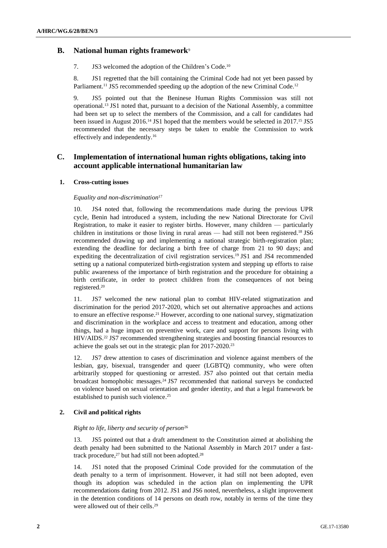# **B. National human rights framework**<sup>9</sup>

7. JS3 welcomed the adoption of the Children's Code.<sup>10</sup>

8. JS1 regretted that the bill containing the Criminal Code had not yet been passed by Parliament.<sup>11</sup> JS5 recommended speeding up the adoption of the new Criminal Code.<sup>12</sup>

9. JS5 pointed out that the Beninese Human Rights Commission was still not operational. <sup>13</sup> JS1 noted that, pursuant to a decision of the National Assembly, a committee had been set up to select the members of the Commission, and a call for candidates had been issued in August 2016.<sup>14</sup> JS1 hoped that the members would be selected in 2017.<sup>15</sup> JS5 recommended that the necessary steps be taken to enable the Commission to work effectively and independently. 16

# **C. Implementation of international human rights obligations, taking into account applicable international humanitarian law**

# **1. Cross-cutting issues**

# *Equality and non-discrimination*<sup>17</sup>

10. JS4 noted that, following the recommendations made during the previous UPR cycle, Benin had introduced a system, including the new National Directorate for Civil Registration, to make it easier to register births. However, many children — particularly children in institutions or those living in rural areas — had still not been registered.<sup>18</sup> JS6 recommended drawing up and implementing a national strategic birth-registration plan; extending the deadline for declaring a birth free of charge from 21 to 90 days; and expediting the decentralization of civil registration services. <sup>19</sup> JS1 and JS4 recommended setting up a national computerized birth-registration system and stepping up efforts to raise public awareness of the importance of birth registration and the procedure for obtaining a birth certificate, in order to protect children from the consequences of not being registered. 20

11. JS7 welcomed the new national plan to combat HIV-related stigmatization and discrimination for the period 2017-2020, which set out alternative approaches and actions to ensure an effective response.<sup>21</sup> However, according to one national survey, stigmatization and discrimination in the workplace and access to treatment and education, among other things, had a huge impact on preventive work, care and support for persons living with HIV/AIDS. <sup>22</sup> JS7 recommended strengthening strategies and boosting financial resources to achieve the goals set out in the strategic plan for 2017-2020.<sup>23</sup>

12. JS7 drew attention to cases of discrimination and violence against members of the lesbian, gay, bisexual, transgender and queer (LGBTQ) community, who were often arbitrarily stopped for questioning or arrested. JS7 also pointed out that certain media broadcast homophobic messages. <sup>24</sup> JS7 recommended that national surveys be conducted on violence based on sexual orientation and gender identity, and that a legal framework be established to punish such violence. 25

# **2. Civil and political rights**

#### *Right to life, liberty and security of person*<sup>26</sup>

13. JS5 pointed out that a draft amendment to the Constitution aimed at abolishing the death penalty had been submitted to the National Assembly in March 2017 under a fasttrack procedure, $27$  but had still not been adopted.<sup>28</sup>

14. JS1 noted that the proposed Criminal Code provided for the commutation of the death penalty to a term of imprisonment. However, it had still not been adopted, even though its adoption was scheduled in the action plan on implementing the UPR recommendations dating from 2012. JS1 and JS6 noted, nevertheless, a slight improvement in the detention conditions of 14 persons on death row, notably in terms of the time they were allowed out of their cells.<sup>29</sup>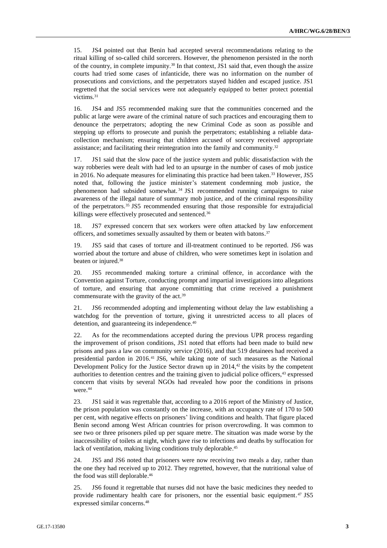15. JS4 pointed out that Benin had accepted several recommendations relating to the ritual killing of so-called child sorcerers. However, the phenomenon persisted in the north of the country, in complete impunity. <sup>30</sup> In that context, JS1 said that, even though the assize courts had tried some cases of infanticide, there was no information on the number of prosecutions and convictions, and the perpetrators stayed hidden and escaped justice. JS1 regretted that the social services were not adequately equipped to better protect potential victims. 31

16. JS4 and JS5 recommended making sure that the communities concerned and the public at large were aware of the criminal nature of such practices and encouraging them to denounce the perpetrators; adopting the new Criminal Code as soon as possible and stepping up efforts to prosecute and punish the perpetrators; establishing a reliable datacollection mechanism; ensuring that children accused of sorcery received appropriate assistance; and facilitating their reintegration into the family and community.<sup>32</sup>

17. JS1 said that the slow pace of the justice system and public dissatisfaction with the way robberies were dealt with had led to an upsurge in the number of cases of mob justice in 2016. No adequate measures for eliminating this practice had been taken. <sup>33</sup> However, JS5 noted that, following the justice minister's statement condemning mob justice, the phenomenon had subsided somewhat. <sup>34</sup> JS1 recommended running campaigns to raise awareness of the illegal nature of summary mob justice, and of the criminal responsibility of the perpetrators. <sup>35</sup> JS5 recommended ensuring that those responsible for extrajudicial killings were effectively prosecuted and sentenced.<sup>36</sup>

18. JS7 expressed concern that sex workers were often attacked by law enforcement officers, and sometimes sexually assaulted by them or beaten with batons. 37

19. JS5 said that cases of torture and ill-treatment continued to be reported. JS6 was worried about the torture and abuse of children, who were sometimes kept in isolation and beaten or injured. 38

20. JS5 recommended making torture a criminal offence, in accordance with the Convention against Torture, conducting prompt and impartial investigations into allegations of torture, and ensuring that anyone committing that crime received a punishment commensurate with the gravity of the act.<sup>39</sup>

21. JS6 recommended adopting and implementing without delay the law establishing a watchdog for the prevention of torture, giving it unrestricted access to all places of detention, and guaranteeing its independence.<sup>40</sup>

22. As for the recommendations accepted during the previous UPR process regarding the improvement of prison conditions, JS1 noted that efforts had been made to build new prisons and pass a law on community service (2016), and that 519 detainees had received a presidential pardon in 2016. <sup>41</sup> JS6, while taking note of such measures as the National Development Policy for the Justice Sector drawn up in  $2014<sup>42</sup>$ , the visits by the competent authorities to detention centres and the training given to judicial police officers,<sup>43</sup> expressed concern that visits by several NGOs had revealed how poor the conditions in prisons were. 44

23. JS1 said it was regrettable that, according to a 2016 report of the Ministry of Justice, the prison population was constantly on the increase, with an occupancy rate of 170 to 500 per cent, with negative effects on prisoners' living conditions and health. That figure placed Benin second among West African countries for prison overcrowding. It was common to see two or three prisoners piled up per square metre. The situation was made worse by the inaccessibility of toilets at night, which gave rise to infections and deaths by suffocation for lack of ventilation, making living conditions truly deplorable. 45

24. JS5 and JS6 noted that prisoners were now receiving two meals a day, rather than the one they had received up to 2012. They regretted, however, that the nutritional value of the food was still deplorable. 46

25. JS6 found it regrettable that nurses did not have the basic medicines they needed to provide rudimentary health care for prisoners, nor the essential basic equipment.<sup>47</sup> JS5 expressed similar concerns. 48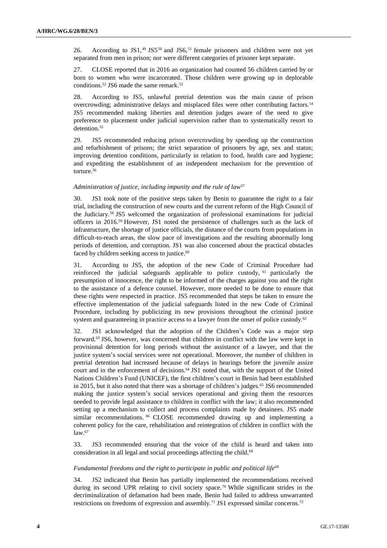26. According to  $JS1<sup>49</sup>, JS5<sup>50</sup>$  and  $JS6<sup>51</sup>$  female prisoners and children were not yet separated from men in prison; nor were different categories of prisoner kept separate.

27. CLOSE reported that in 2016 an organization had counted 56 children carried by or born to women who were incarcerated. Those children were growing up in deplorable conditions. <sup>52</sup> JS6 made the same remark. 53

28. According to JS5, unlawful pretrial detention was the main cause of prison overcrowding; administrative delays and misplaced files were other contributing factors. 54 JS5 recommended making liberties and detention judges aware of the need to give preference to placement under judicial supervision rather than to systematically resort to detention.<sup>55</sup>

29. JS5 recommended reducing prison overcrowding by speeding up the construction and refurbishment of prisons; the strict separation of prisoners by age, sex and status; improving detention conditions, particularly in relation to food, health care and hygiene; and expediting the establishment of an independent mechanism for the prevention of torture. 56

## *Administration of justice, including impunity and the rule of law*<sup>57</sup>

30. JS1 took note of the positive steps taken by Benin to guarantee the right to a fair trial, including the construction of new courts and the current reform of the High Council of the Judiciary. <sup>58</sup> JS5 welcomed the organization of professional examinations for judicial officers in 2016. <sup>59</sup> However, JS1 noted the persistence of challenges such as the lack of infrastructure, the shortage of justice officials, the distance of the courts from populations in difficult-to-reach areas, the slow pace of investigations and the resulting abnormally long periods of detention, and corruption. JS1 was also concerned about the practical obstacles faced by children seeking access to justice.<sup>60</sup>

31. According to JS5, the adoption of the new Code of Criminal Procedure had reinforced the judicial safeguards applicable to police custody, <sup>61</sup> particularly the presumption of innocence, the right to be informed of the charges against you and the right to the assistance of a defence counsel. However, more needed to be done to ensure that these rights were respected in practice. JS5 recommended that steps be taken to ensure the effective implementation of the judicial safeguards listed in the new Code of Criminal Procedure, including by publicizing its new provisions throughout the criminal justice system and guaranteeing in practice access to a lawyer from the onset of police custody.<sup>62</sup>

32. JS1 acknowledged that the adoption of the Children's Code was a major step forward. <sup>63</sup> JS6, however, was concerned that children in conflict with the law were kept in provisional detention for long periods without the assistance of a lawyer, and that the justice system's social services were not operational. Moreover, the number of children in pretrial detention had increased because of delays in hearings before the juvenile assize court and in the enforcement of decisions. <sup>64</sup> JS1 noted that, with the support of the United Nations Children's Fund (UNICEF), the first children's court in Benin had been established in 2015, but it also noted that there was a shortage of children's judges. <sup>65</sup> JS6 recommended making the justice system's social services operational and giving them the resources needed to provide legal assistance to children in conflict with the law; it also recommended setting up a mechanism to collect and process complaints made by detainees. JS5 made similar recommendations. <sup>66</sup> CLOSE recommended drawing up and implementing a coherent policy for the care, rehabilitation and reintegration of children in conflict with the law. 67

33. JS3 recommended ensuring that the voice of the child is heard and taken into consideration in all legal and social proceedings affecting the child.<sup>68</sup>

#### Fundamental freedoms and the right to participate in public and political life<sup>69</sup>

34. JS2 indicated that Benin has partially implemented the recommendations received during its second UPR relating to civil society space.<sup>70</sup> While significant strides in the decriminalization of defamation had been made, Benin had failed to address unwarranted restrictions on freedoms of expression and assembly.<sup>71</sup> JS1 expressed similar concerns.<sup>72</sup>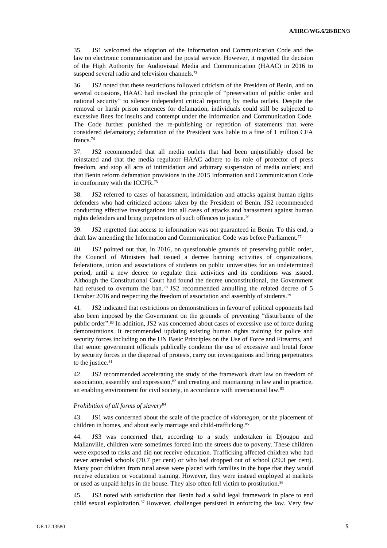35. JS1 welcomed the adoption of the Information and Communication Code and the law on electronic communication and the postal service. However, it regretted the decision of the High Authority for Audiovisual Media and Communication (HAAC) in 2016 to suspend several radio and television channels.<sup>73</sup>

36. JS2 noted that these restrictions followed criticism of the President of Benin, and on several occasions, HAAC had invoked the principle of "preservation of public order and national security" to silence independent critical reporting by media outlets. Despite the removal or harsh prison sentences for defamation, individuals could still be subjected to excessive fines for insults and contempt under the Information and Communication Code. The Code further punished the re-publishing or repetition of statements that were considered defamatory; defamation of the President was liable to a fine of 1 million CFA francs.<sup>74</sup>

37. JS2 recommended that all media outlets that had been unjustifiably closed be reinstated and that the media regulator HAAC adhere to its role of protector of press freedom, and stop all acts of intimidation and arbitrary suspension of media outlets; and that Benin reform defamation provisions in the 2015 Information and Communication Code in conformity with the ICCPR.<sup>75</sup>

38. JS2 referred to cases of harassment, intimidation and attacks against human rights defenders who had criticized actions taken by the President of Benin. JS2 recommended conducting effective investigations into all cases of attacks and harassment against human rights defenders and bring perpetrators of such offences to justice.<sup>76</sup>

39. JS2 regretted that access to information was not guaranteed in Benin. To this end, a draft law amending the Information and Communication Code was before Parliament.<sup>77</sup>

40. JS2 pointed out that, in 2016, on questionable grounds of preserving public order, the Council of Ministers had issued a decree banning activities of organizations, federations, union and associations of students on public universities for an undetermined period, until a new decree to regulate their activities and its conditions was issued. Although the Constitutional Court had found the decree unconstitutional, the Government had refused to overturn the ban.<sup>78</sup> JS2 recommended annulling the related decree of 5 October 2016 and respecting the freedom of association and assembly of students.<sup>79</sup>

41. JS2 indicated that restrictions on demonstrations in favour of political opponents had also been imposed by the Government on the grounds of preventing "disturbance of the public order".<sup>80</sup> In addition, JS2 was concerned about cases of excessive use of force during demonstrations. It recommended updating existing human rights training for police and security forces including on the UN Basic Principles on the Use of Force and Firearms, and that senior government officials publically condemn the use of excessive and brutal force by security forces in the dispersal of protests, carry out investigations and bring perpetrators to the justice.<sup>81</sup>

42. JS2 recommended accelerating the study of the framework draft law on freedom of association, assembly and expression,<sup>82</sup> and creating and maintaining in law and in practice, an enabling environment for civil society, in accordance with international law.<sup>83</sup>

#### *Prohibition of all forms of slavery*<sup>84</sup>

43. JS1 was concerned about the scale of the practice of *vidomegon*, or the placement of children in homes, and about early marriage and child-trafficking. 85

44. JS3 was concerned that, according to a study undertaken in Djougou and Mallanville, children were sometimes forced into the streets due to poverty. These children were exposed to risks and did not receive education. Trafficking affected children who had never attended schools (70.7 per cent) or who had dropped out of school (29.3 per cent). Many poor children from rural areas were placed with families in the hope that they would receive education or vocational training. However, they were instead employed at markets or used as unpaid helps in the house. They also often fell victim to prostitution.<sup>86</sup>

45. JS3 noted with satisfaction that Benin had a solid legal framework in place to end child sexual exploitation.<sup>87</sup> However, challenges persisted in enforcing the law. Very few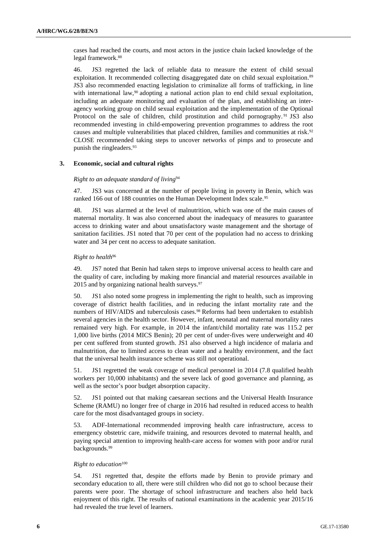cases had reached the courts, and most actors in the justice chain lacked knowledge of the legal framework.<sup>88</sup>

46. JS3 regretted the lack of reliable data to measure the extent of child sexual exploitation. It recommended collecting disaggregated date on child sexual exploitation.<sup>89</sup> JS3 also recommended enacting legislation to criminalize all forms of trafficking, in line with international law, $90$  adopting a national action plan to end child sexual exploitation, including an adequate monitoring and evaluation of the plan, and establishing an interagency working group on child sexual exploitation and the implementation of the Optional Protocol on the sale of children, child prostitution and child pornography.<sup>91</sup> JS3 also recommended investing in child-empowering prevention programmes to address the root causes and multiple vulnerabilities that placed children, families and communities at risk.<sup>92</sup> CLOSE recommended taking steps to uncover networks of pimps and to prosecute and punish the ringleaders. 93

## **3. Economic, social and cultural rights**

## *Right to an adequate standard of living*<sup>94</sup>

47. JS3 was concerned at the number of people living in poverty in Benin, which was ranked 166 out of 188 countries on the Human Development Index scale.<sup>95</sup>

48. JS1 was alarmed at the level of malnutrition, which was one of the main causes of maternal mortality. It was also concerned about the inadequacy of measures to guarantee access to drinking water and about unsatisfactory waste management and the shortage of sanitation facilities. JS1 noted that 70 per cent of the population had no access to drinking water and 34 per cent no access to adequate sanitation.

## *Right to health*<sup>96</sup>

49. JS7 noted that Benin had taken steps to improve universal access to health care and the quality of care, including by making more financial and material resources available in 2015 and by organizing national health surveys. $97$ 

50. JS1 also noted some progress in implementing the right to health, such as improving coverage of district health facilities, and in reducing the infant mortality rate and the numbers of HIV/AIDS and tuberculosis cases.<sup>98</sup> Reforms had been undertaken to establish several agencies in the health sector. However, infant, neonatal and maternal mortality rates remained very high. For example, in 2014 the infant/child mortality rate was 115.2 per 1,000 live births (2014 MICS Benin); 20 per cent of under-fives were underweight and 40 per cent suffered from stunted growth. JS1 also observed a high incidence of malaria and malnutrition, due to limited access to clean water and a healthy environment, and the fact that the universal health insurance scheme was still not operational.

51. JS1 regretted the weak coverage of medical personnel in 2014 (7.8 qualified health workers per 10,000 inhabitants) and the severe lack of good governance and planning, as well as the sector's poor budget absorption capacity.

52. JS1 pointed out that making caesarean sections and the Universal Health Insurance Scheme (RAMU) no longer free of charge in 2016 had resulted in reduced access to health care for the most disadvantaged groups in society.

53. ADF-International recommended improving health care infrastructure, access to emergency obstetric care, midwife training, and resources devoted to maternal health, and paying special attention to improving health-care access for women with poor and/or rural backgrounds.<sup>99</sup>

#### *Right to education*<sup>100</sup>

54. JS1 regretted that, despite the efforts made by Benin to provide primary and secondary education to all, there were still children who did not go to school because their parents were poor. The shortage of school infrastructure and teachers also held back enjoyment of this right. The results of national examinations in the academic year 2015/16 had revealed the true level of learners.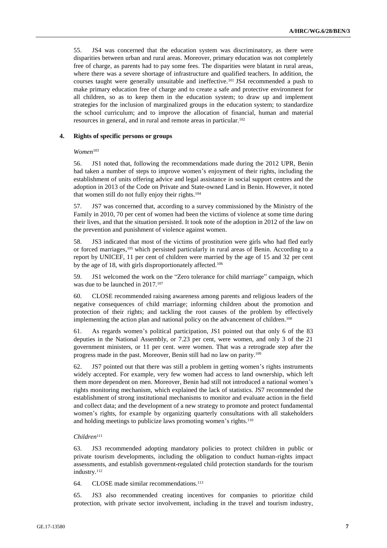55. JS4 was concerned that the education system was discriminatory, as there were disparities between urban and rural areas. Moreover, primary education was not completely free of charge, as parents had to pay some fees. The disparities were blatant in rural areas, where there was a severe shortage of infrastructure and qualified teachers. In addition, the courses taught were generally unsuitable and ineffective. <sup>101</sup> JS4 recommended a push to make primary education free of charge and to create a safe and protective environment for all children, so as to keep them in the education system; to draw up and implement strategies for the inclusion of marginalized groups in the education system; to standardize the school curriculum; and to improve the allocation of financial, human and material resources in general, and in rural and remote areas in particular.<sup>102</sup>

## **4. Rights of specific persons or groups**

#### *Women*<sup>103</sup>

56. JS1 noted that, following the recommendations made during the 2012 UPR, Benin had taken a number of steps to improve women's enjoyment of their rights, including the establishment of units offering advice and legal assistance in social support centres and the adoption in 2013 of the Code on Private and State-owned Land in Benin. However, it noted that women still do not fully enjoy their rights. 104

57. JS7 was concerned that, according to a survey commissioned by the Ministry of the Family in 2010, 70 per cent of women had been the victims of violence at some time during their lives, and that the situation persisted. It took note of the adoption in 2012 of the law on the prevention and punishment of violence against women.

58. JS3 indicated that most of the victims of prostitution were girls who had fled early or forced marriages,<sup>105</sup> which persisted particularly in rural areas of Benin. According to a report by UNICEF, 11 per cent of children were married by the age of 15 and 32 per cent by the age of 18, with girls disproportionately affected.<sup>106</sup>

59. JS1 welcomed the work on the "Zero tolerance for child marriage" campaign, which was due to be launched in 2017.<sup>107</sup>

60. CLOSE recommended raising awareness among parents and religious leaders of the negative consequences of child marriage; informing children about the promotion and protection of their rights; and tackling the root causes of the problem by effectively implementing the action plan and national policy on the advancement of children. 108

61. As regards women's political participation, JS1 pointed out that only 6 of the 83 deputies in the National Assembly, or 7.23 per cent, were women, and only 3 of the 21 government ministers, or 11 per cent. were women. That was a retrograde step after the progress made in the past. Moreover, Benin still had no law on parity.<sup>109</sup>

62. JS7 pointed out that there was still a problem in getting women's rights instruments widely accepted. For example, very few women had access to land ownership, which left them more dependent on men. Moreover, Benin had still not introduced a national women's rights monitoring mechanism, which explained the lack of statistics. JS7 recommended the establishment of strong institutional mechanisms to monitor and evaluate action in the field and collect data; and the development of a new strategy to promote and protect fundamental women's rights, for example by organizing quarterly consultations with all stakeholders and holding meetings to publicize laws promoting women's rights.<sup>110</sup>

#### *Children*<sup>111</sup>

63. JS3 recommended adopting mandatory policies to protect children in public or private tourism developments, including the obligation to conduct human-rights impact assessments, and establish government-regulated child protection standards for the tourism industry.<sup>112</sup>

64. CLOSE made similar recommendations.<sup>113</sup>

65. JS3 also recommended creating incentives for companies to prioritize child protection, with private sector involvement, including in the travel and tourism industry,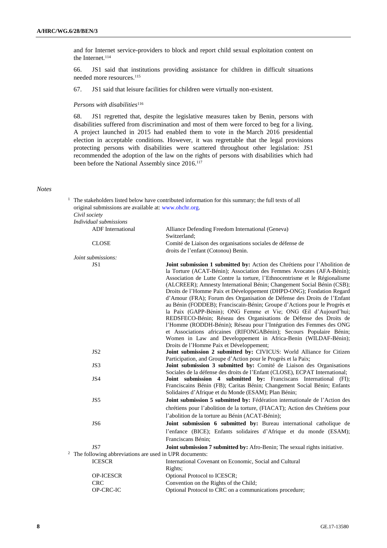and for Internet service-providers to block and report child sexual exploitation content on the Internet.<sup>114</sup>

66. JS1 said that institutions providing assistance for children in difficult situations needed more resources. 115

67. JS1 said that leisure facilities for children were virtually non-existent.

## *Persons with disabilities*<sup>116</sup>

68. JS1 regretted that, despite the legislative measures taken by Benin, persons with disabilities suffered from discrimination and most of them were forced to beg for a living. A project launched in 2015 had enabled them to vote in the March 2016 presidential election in acceptable conditions. However, it was regrettable that the legal provisions protecting persons with disabilities were scattered throughout other legislation: JS1 recommended the adoption of the law on the rights of persons with disabilities which had been before the National Assembly since 2016.<sup>117</sup>

#### *Notes*

|                                                                     | The stakeholders listed below have contributed information for this summary; the full texts of all                                                                                                                                                                                                                 |
|---------------------------------------------------------------------|--------------------------------------------------------------------------------------------------------------------------------------------------------------------------------------------------------------------------------------------------------------------------------------------------------------------|
| original submissions are available at: www.ohchr.org.               |                                                                                                                                                                                                                                                                                                                    |
| Civil society                                                       |                                                                                                                                                                                                                                                                                                                    |
| Individual submissions                                              |                                                                                                                                                                                                                                                                                                                    |
| <b>ADF</b> International                                            | Alliance Defending Freedom International (Geneva)<br>Switzerland;                                                                                                                                                                                                                                                  |
| <b>CLOSE</b>                                                        | Comité de Liaison des organisations sociales de défense de                                                                                                                                                                                                                                                         |
|                                                                     | droits de l'enfant (Cotonou) Benin.                                                                                                                                                                                                                                                                                |
| Joint submissions:                                                  |                                                                                                                                                                                                                                                                                                                    |
| JS1                                                                 | <b>Joint submission 1 submitted by:</b> Action des Chrétiens pour l'Abolition de<br>la Torture (ACAT-Bénin); Association des Femmes Avocates (AFA-Bénin);<br>Association de Lutte Contre la torture, l'Ethnocentrisme et le Régionalisme<br>(ALCREER); Amnesty International Bénin; Changement Social Bénin (CSB); |
|                                                                     | Droits de l'Homme Paix et Développement (DHPD-ONG); Fondation Regard<br>d'Amour (FRA); Forum des Organisation de Défense des Droits de l'Enfant<br>au Bénin (FODDEB); Franciscain-Bénin; Groupe d'Actions pour le Progrès et<br>la Paix (GAPP-Bénin); ONG Femme et Vie; ONG Œil d'Aujourd'hui;                     |
|                                                                     | REDSFECO-Bénin; Réseau des Organisations de Défense des Droits de<br>l'Homme (RODDH-Bénin); Réseau pour l'Intégration des Femmes des ONG                                                                                                                                                                           |
|                                                                     | et Associations africaines (RIFONGABénin); Secours Populaire Bénin;                                                                                                                                                                                                                                                |
|                                                                     | Women in Law and Developpement in Africa-Benin (WILDAF-Bénin);                                                                                                                                                                                                                                                     |
|                                                                     | Droits de l'Homme Paix et Développement;                                                                                                                                                                                                                                                                           |
| JS <sub>2</sub>                                                     | Joint submission 2 submitted by: CIVICUS: World Alliance for Citizen                                                                                                                                                                                                                                               |
|                                                                     | Participation, and Groupe d'Action pour le Progrès et la Paix;                                                                                                                                                                                                                                                     |
| JS3                                                                 | Joint submission 3 submitted by: Comité de Liaison des Organisations<br>Sociales de la défense des droits de l'Enfant (CLOSE), ECPAT International;                                                                                                                                                                |
| JS4                                                                 | Joint submission 4 submitted by: Franciscans International (FI);<br>Franciscains Bénin (FB); Caritas Bénin; Changement Social Bénin; Enfants<br>Solidaires d'Afrique et du Monde (ESAM); Plan Bénin;                                                                                                               |
| JS5                                                                 | Joint submission 5 submitted by: Fédération internationale de l'Action des                                                                                                                                                                                                                                         |
|                                                                     | chrétiens pour l'abolition de la torture, (FIACAT); Action des Chrétiens pour                                                                                                                                                                                                                                      |
|                                                                     | l'abolition de la torture au Bénin (ACAT-Bénin);                                                                                                                                                                                                                                                                   |
| JS6                                                                 | Joint submission 6 submitted by: Bureau international catholique de                                                                                                                                                                                                                                                |
|                                                                     | l'enfance (BICE); Enfants solidaires d'Afrique et du monde (ESAM);                                                                                                                                                                                                                                                 |
|                                                                     | Franciscans Bénin:                                                                                                                                                                                                                                                                                                 |
| JS7                                                                 | Joint submission 7 submitted by: Afro-Benin; The sexual rights initiative.                                                                                                                                                                                                                                         |
| <sup>2</sup> The following abbreviations are used in UPR documents: |                                                                                                                                                                                                                                                                                                                    |
| <b>ICESCR</b>                                                       | International Covenant on Economic, Social and Cultural<br>Rights;                                                                                                                                                                                                                                                 |
| <b>OP-ICESCR</b>                                                    | Optional Protocol to ICESCR;                                                                                                                                                                                                                                                                                       |
| <b>CRC</b>                                                          | Convention on the Rights of the Child;                                                                                                                                                                                                                                                                             |
| <b>OP-CRC-IC</b>                                                    | Optional Protocol to CRC on a communications procedure;                                                                                                                                                                                                                                                            |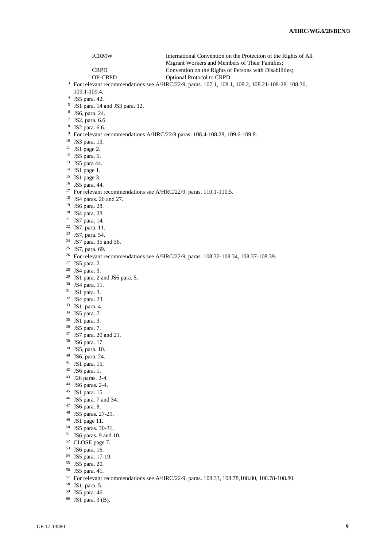ICRMW International Convention on the Protection of the Rights of All Migrant Workers and Members of Their Families; CRPD Convention on the Rights of Persons with Disabilities;<br>OP-CRPD Optional Protocol to CRPD. Optional Protocol to CRPD. <sup>3</sup> For relevant recommendations see A/HRC/22/9, paras. 107.1, 108.1, 108.2, 108.21-108-28. 108.36, 109.1-109.4. JS5 para. 42. JS1 para. 14 and JS3 para. 12. JS6, para. 24. JS2, para. 6.6. JS2 para. 6.6. For relevant recommendations A/HRC/22/9 paras. 108.4-108.28, 109.6-109.8. JS3 para. 13. JS1 page 2. JS5 para. 5. JS5 para 44. JS1 page 1. JS1 page 3. JS5 para. 44. <sup>17</sup> For relevant recommendations see A/HRC/22/9, paras. 110.1-110.5. JS4 paras. 26 and 27. JS6 para. 28. JS4 para. 28. JS7 para. 14. JS7, para. 11. JS7, para. 54. JS7 para. 35 and 36. JS7, para. 69. <sup>26</sup> For relevant recommendations see A/HRC/22/9, paras. 108.32-108.34, 108.37-108.39. JS5 para. 2. JS4 para. 3. JS1 para. 2 and JS6 para. 5. JS4 para. 11. JS1 para. 3. JS4 para. 23. JS1, para. 4. JS5 para. 7. JS1 para. 3. JS5 para. 7. JS7 para. 20 and 21. JS6 para. 17. JS5, para. 10. JS6, para. 24. JS1 para. 15. JS6 para. 1. J26 paras. 2-4. JS6 paras. 2-4. JS1 para. 15. JS5 para. 7 and 34. JS6 para. 8. JS5 paras. 27-29. JS1 page 11. JS5 paras. 30-31. JS6 paras. 9 and 10. CLOSE page 7. JS6 para. 16. JS5 para. 17-19. JS5 para. 20. JS5 para. 41. For relevant recommendations see A/HRC/22/9, paras. 108.33, 108.78,108.80, 108.78-108.80. JS1, para. 5.

- JS5 para. 46.
- JS1 para. 3 (B).